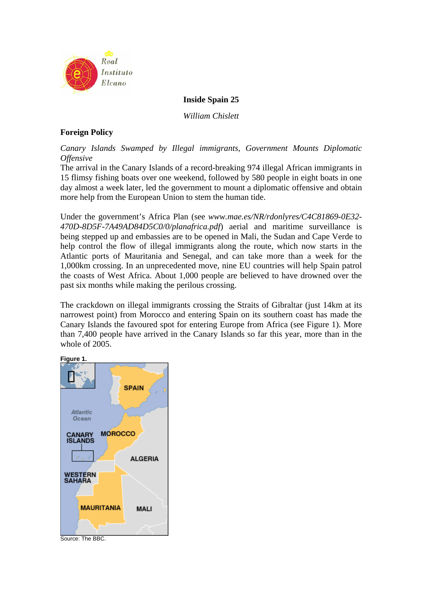

**Inside Spain 25**

*William Chislett* 

# **Foreign Policy**

*Canary Islands Swamped by Illegal immigrants, Government Mounts Diplomatic Offensive* 

The arrival in the Canary Islands of a record-breaking 974 illegal African immigrants in 15 flimsy fishing boats over one weekend, followed by 580 people in eight boats in one day almost a week later, led the government to mount a diplomatic offensive and obtain more help from the European Union to stem the human tide.

Under the government's Africa Plan (see *www.mae.es/NR/rdonlyres/C4C81869-0E32- 470D-8D5F-7A49AD84D5C0/0/planafrica.pdf*) aerial and maritime surveillance is being stepped up and embassies are to be opened in Mali, the Sudan and Cape Verde to help control the flow of illegal immigrants along the route, which now starts in the Atlantic ports of Mauritania and Senegal, and can take more than a week for the 1,000km crossing. In an unprecedented move, nine EU countries will help Spain patrol the coasts of West Africa. About 1,000 people are believed to have drowned over the past six months while making the perilous crossing.

The crackdown on illegal immigrants crossing the Straits of Gibraltar (just 14km at its narrowest point) from Morocco and entering Spain on its southern coast has made the Canary Islands the favoured spot for entering Europe from Africa (see Figure 1). More than 7,400 people have arrived in the Canary Islands so far this year, more than in the whole of 2005.

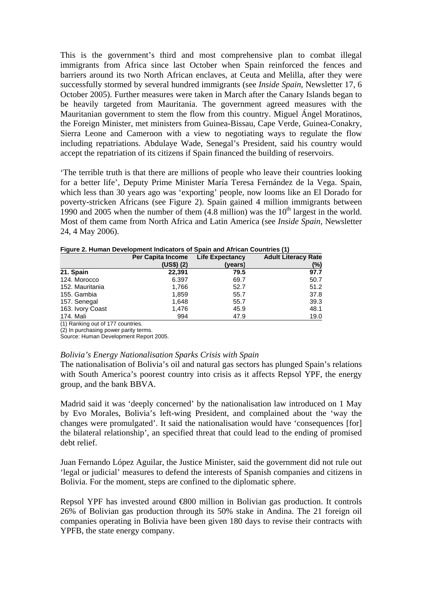This is the government's third and most comprehensive plan to combat illegal immigrants from Africa since last October when Spain reinforced the fences and barriers around its two North African enclaves, at Ceuta and Melilla, after they were successfully stormed by several hundred immigrants (see *Inside Spain*, Newsletter 17, 6 October 2005). Further measures were taken in March after the Canary Islands began to be heavily targeted from Mauritania. The government agreed measures with the Mauritanian government to stem the flow from this country. Miguel Ángel Moratinos, the Foreign Minister, met ministers from Guinea-Bissau, Cape Verde, Guinea-Conakry, Sierra Leone and Cameroon with a view to negotiating ways to regulate the flow including repatriations. Abdulaye Wade, Senegal's President, said his country would accept the repatriation of its citizens if Spain financed the building of reservoirs.

'The terrible truth is that there are millions of people who leave their countries looking for a better life', Deputy Prime Minister María Teresa Fernández de la Vega. Spain, which less than 30 years ago was 'exporting' people, now looms like an El Dorado for poverty-stricken Africans (see Figure 2). Spain gained 4 million immigrants between 1990 and 2005 when the number of them  $(4.8 \text{ million})$  was the  $10^{\text{th}}$  largest in the world. Most of them came from North Africa and Latin America (see *Inside Spain*, Newsletter 24, 4 May 2006).

|                  | Per Capita Income | <b>Life Expectancy</b> | <b>Adult Literacy Rate</b> |
|------------------|-------------------|------------------------|----------------------------|
|                  | (US\$)(2)         | (years)                | (%)                        |
| 21. Spain        | 22,391            | 79.5                   | 97.7                       |
| 124. Morocco     | 6.397             | 69.7                   | 50.7                       |
| 152. Mauritania  | 1,766             | 52.7                   | 51.2                       |
| 155. Gambia      | 1,859             | 55.7                   | 37.8                       |
| 157. Senegal     | 1,648             | 55.7                   | 39.3                       |
| 163. Ivory Coast | 1,476             | 45.9                   | 48.1                       |
| 174. Mali        | 994               | 47.9                   | 19.0                       |

**Figure 2. Human Development Indicators of Spain and African Countries (1)** 

(1) Ranking out of 177 countries.

(2) In purchasing power parity terms.

Source: Human Development Report 2005.

#### *Bolivia's Energy Nationalisation Sparks Crisis with Spain*

The nationalisation of Bolivia's oil and natural gas sectors has plunged Spain's relations with South America's poorest country into crisis as it affects Repsol YPF, the energy group, and the bank BBVA.

Madrid said it was 'deeply concerned' by the nationalisation law introduced on 1 May by Evo Morales, Bolivia's left-wing President, and complained about the 'way the changes were promulgated'. It said the nationalisation would have 'consequences [for] the bilateral relationship', an specified threat that could lead to the ending of promised debt relief.

Juan Fernando López Aguilar, the Justice Minister, said the government did not rule out 'legal or judicial' measures to defend the interests of Spanish companies and citizens in Bolivia. For the moment, steps are confined to the diplomatic sphere.

Repsol YPF has invested around €800 million in Bolivian gas production. It controls 26% of Bolivian gas production through its 50% stake in Andina. The 21 foreign oil companies operating in Bolivia have been given 180 days to revise their contracts with YPFB, the state energy company.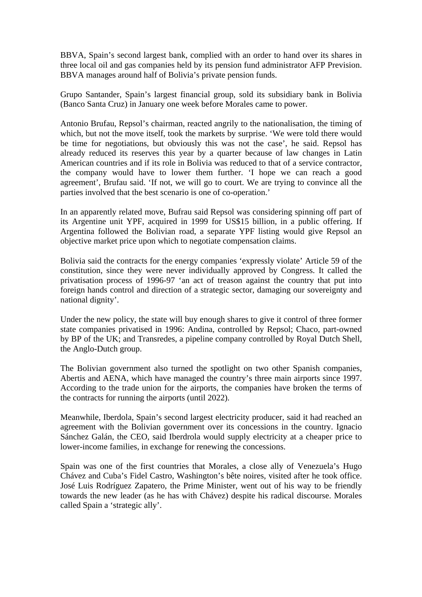BBVA, Spain's second largest bank, complied with an order to hand over its shares in three local oil and gas companies held by its pension fund administrator AFP Prevision. BBVA manages around half of Bolivia's private pension funds.

Grupo Santander, Spain's largest financial group, sold its subsidiary bank in Bolivia (Banco Santa Cruz) in January one week before Morales came to power.

Antonio Brufau, Repsol's chairman, reacted angrily to the nationalisation, the timing of which, but not the move itself, took the markets by surprise. 'We were told there would be time for negotiations, but obviously this was not the case', he said. Repsol has already reduced its reserves this year by a quarter because of law changes in Latin American countries and if its role in Bolivia was reduced to that of a service contractor, the company would have to lower them further. 'I hope we can reach a good agreement', Brufau said. 'If not, we will go to court. We are trying to convince all the parties involved that the best scenario is one of co-operation.'

In an apparently related move, Bufrau said Repsol was considering spinning off part of its Argentine unit YPF, acquired in 1999 for US\$15 billion, in a public offering. If Argentina followed the Bolivian road, a separate YPF listing would give Repsol an objective market price upon which to negotiate compensation claims.

Bolivia said the contracts for the energy companies 'expressly violate' Article 59 of the constitution, since they were never individually approved by Congress. It called the privatisation process of 1996-97 'an act of treason against the country that put into foreign hands control and direction of a strategic sector, damaging our sovereignty and national dignity'.

Under the new policy, the state will buy enough shares to give it control of three former state companies privatised in 1996: Andina, controlled by Repsol; Chaco, part-owned by BP of the UK; and Transredes, a pipeline company controlled by Royal Dutch Shell, the Anglo-Dutch group.

The Bolivian government also turned the spotlight on two other Spanish companies, Abertis and AENA, which have managed the country's three main airports since 1997. According to the trade union for the airports, the companies have broken the terms of the contracts for running the airports (until 2022).

Meanwhile, Iberdola, Spain's second largest electricity producer, said it had reached an agreement with the Bolivian government over its concessions in the country. Ignacio Sánchez Galán, the CEO, said Iberdrola would supply electricity at a cheaper price to lower-income families, in exchange for renewing the concessions.

Spain was one of the first countries that Morales, a close ally of Venezuela's Hugo Chávez and Cuba's Fidel Castro, Washington's bête noires, visited after he took office. José Luis Rodríguez Zapatero, the Prime Minister, went out of his way to be friendly towards the new leader (as he has with Chávez) despite his radical discourse. Morales called Spain a 'strategic ally'.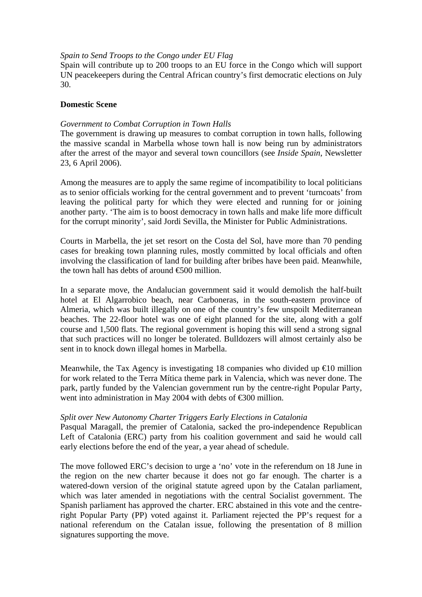# *Spain to Send Troops to the Congo under EU Flag*

Spain will contribute up to 200 troops to an EU force in the Congo which will support UN peacekeepers during the Central African country's first democratic elections on July 30.

# **Domestic Scene**

# *Government to Combat Corruption in Town Halls*

The government is drawing up measures to combat corruption in town halls, following the massive scandal in Marbella whose town hall is now being run by administrators after the arrest of the mayor and several town councillors (see *Inside Spain*, Newsletter 23, 6 April 2006).

Among the measures are to apply the same regime of incompatibility to local politicians as to senior officials working for the central government and to prevent 'turncoats' from leaving the political party for which they were elected and running for or joining another party. 'The aim is to boost democracy in town halls and make life more difficult for the corrupt minority', said Jordi Sevilla, the Minister for Public Administrations.

Courts in Marbella, the jet set resort on the Costa del Sol, have more than 70 pending cases for breaking town planning rules, mostly committed by local officials and often involving the classification of land for building after bribes have been paid. Meanwhile, the town hall has debts of around  $\epsilon$  500 million.

In a separate move, the Andalucian government said it would demolish the half-built hotel at El Algarrobico beach, near Carboneras, in the south-eastern province of Almeria, which was built illegally on one of the country's few unspoilt Mediterranean beaches. The 22-floor hotel was one of eight planned for the site, along with a golf course and 1,500 flats. The regional government is hoping this will send a strong signal that such practices will no longer be tolerated. Bulldozers will almost certainly also be sent in to knock down illegal homes in Marbella.

Meanwhile, the Tax Agency is investigating 18 companies who divided up  $\epsilon 0$  million for work related to the Terra Mítica theme park in Valencia, which was never done. The park, partly funded by the Valencian government run by the centre-right Popular Party, went into administration in May 2004 with debts of €300 million.

## *Split over New Autonomy Charter Triggers Early Elections in Catalonia*

Pasqual Maragall, the premier of Catalonia, sacked the pro-independence Republican Left of Catalonia (ERC) party from his coalition government and said he would call early elections before the end of the year, a year ahead of schedule.

The move followed ERC's decision to urge a 'no' vote in the referendum on 18 June in the region on the new charter because it does not go far enough. The charter is a watered-down version of the original statute agreed upon by the Catalan parliament, which was later amended in negotiations with the central Socialist government. The Spanish parliament has approved the charter. ERC abstained in this vote and the centreright Popular Party (PP) voted against it. Parliament rejected the PP's request for a national referendum on the Catalan issue, following the presentation of 8 million signatures supporting the move.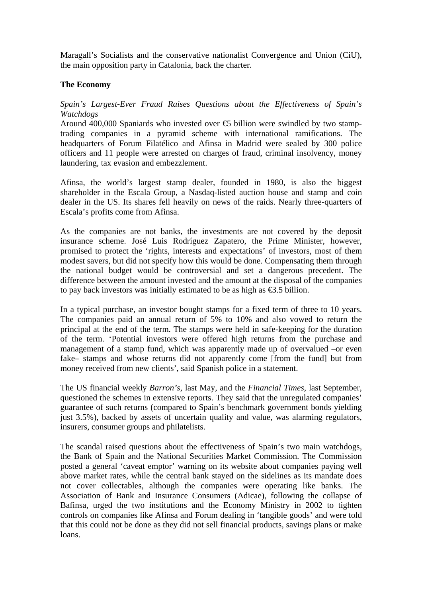Maragall's Socialists and the conservative nationalist Convergence and Union (CiU), the main opposition party in Catalonia, back the charter.

# **The Economy**

# *Spain's Largest-Ever Fraud Raises Questions about the Effectiveness of Spain's Watchdogs*

Around 400,000 Spaniards who invested over  $\epsilon$  billion were swindled by two stamptrading companies in a pyramid scheme with international ramifications. The headquarters of Forum Filatélico and Afinsa in Madrid were sealed by 300 police officers and 11 people were arrested on charges of fraud, criminal insolvency, money laundering, tax evasion and embezzlement.

Afinsa, the world's largest stamp dealer, founded in 1980, is also the biggest shareholder in the Escala Group, a Nasdaq-listed auction house and stamp and coin dealer in the US. Its shares fell heavily on news of the raids. Nearly three-quarters of Escala's profits come from Afinsa.

As the companies are not banks, the investments are not covered by the deposit insurance scheme. José Luis Rodríguez Zapatero, the Prime Minister, however, promised to protect the 'rights, interests and expectations' of investors, most of them modest savers, but did not specify how this would be done. Compensating them through the national budget would be controversial and set a dangerous precedent. The difference between the amount invested and the amount at the disposal of the companies to pay back investors was initially estimated to be as high as  $\epsilon$ 3.5 billion.

In a typical purchase, an investor bought stamps for a fixed term of three to 10 years. The companies paid an annual return of 5% to 10% and also vowed to return the principal at the end of the term. The stamps were held in safe-keeping for the duration of the term. 'Potential investors were offered high returns from the purchase and management of a stamp fund, which was apparently made up of overvalued –or even fake– stamps and whose returns did not apparently come [from the fund] but from money received from new clients', said Spanish police in a statement.

The US financial weekly *Barron's*, last May, and the *Financial Times*, last September, questioned the schemes in extensive reports. They said that the unregulated companies' guarantee of such returns (compared to Spain's benchmark government bonds yielding just 3.5%), backed by assets of uncertain quality and value, was alarming regulators, insurers, consumer groups and philatelists.

The scandal raised questions about the effectiveness of Spain's two main watchdogs, the Bank of Spain and the National Securities Market Commission. The Commission posted a general 'caveat emptor' warning on its website about companies paying well above market rates, while the central bank stayed on the sidelines as its mandate does not cover collectables, although the companies were operating like banks. The Association of Bank and Insurance Consumers (Adicae), following the collapse of Bafinsa, urged the two institutions and the Economy Ministry in 2002 to tighten controls on companies like Afinsa and Forum dealing in 'tangible goods' and were told that this could not be done as they did not sell financial products, savings plans or make loans.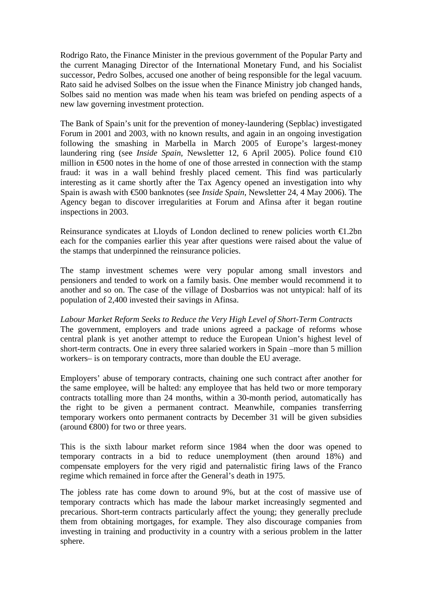Rodrigo Rato, the Finance Minister in the previous government of the Popular Party and the current Managing Director of the International Monetary Fund, and his Socialist successor, Pedro Solbes, accused one another of being responsible for the legal vacuum. Rato said he advised Solbes on the issue when the Finance Ministry job changed hands, Solbes said no mention was made when his team was briefed on pending aspects of a new law governing investment protection.

The Bank of Spain's unit for the prevention of money-laundering (Sepblac) investigated Forum in 2001 and 2003, with no known results, and again in an ongoing investigation following the smashing in Marbella in March 2005 of Europe's largest-money laundering ring (see *Inside Spain*, Newsletter 12, 6 April 2005). Police found €10 million in  $\epsilon$ 500 notes in the home of one of those arrested in connection with the stamp fraud: it was in a wall behind freshly placed cement. This find was particularly interesting as it came shortly after the Tax Agency opened an investigation into why Spain is awash with €500 banknotes (see *Inside Spain*, Newsletter 24, 4 May 2006). The Agency began to discover irregularities at Forum and Afinsa after it began routine inspections in 2003.

Reinsurance syndicates at Lloyds of London declined to renew policies worth €1.2bn each for the companies earlier this year after questions were raised about the value of the stamps that underpinned the reinsurance policies.

The stamp investment schemes were very popular among small investors and pensioners and tended to work on a family basis. One member would recommend it to another and so on. The case of the village of Dosbarrios was not untypical: half of its population of 2,400 invested their savings in Afinsa.

*Labour Market Reform Seeks to Reduce the Very High Level of Short-Term Contracts*  The government, employers and trade unions agreed a package of reforms whose central plank is yet another attempt to reduce the European Union's highest level of short-term contracts. One in every three salaried workers in Spain –more than 5 million workers– is on temporary contracts, more than double the EU average.

Employers' abuse of temporary contracts, chaining one such contract after another for the same employee, will be halted: any employee that has held two or more temporary contracts totalling more than 24 months, within a 30-month period, automatically has the right to be given a permanent contract. Meanwhile, companies transferring temporary workers onto permanent contracts by December 31 will be given subsidies (around  $\epsilon$ 800) for two or three years.

This is the sixth labour market reform since 1984 when the door was opened to temporary contracts in a bid to reduce unemployment (then around 18%) and compensate employers for the very rigid and paternalistic firing laws of the Franco regime which remained in force after the General's death in 1975.

The jobless rate has come down to around 9%, but at the cost of massive use of temporary contracts which has made the labour market increasingly segmented and precarious. Short-term contracts particularly affect the young; they generally preclude them from obtaining mortgages, for example. They also discourage companies from investing in training and productivity in a country with a serious problem in the latter sphere.